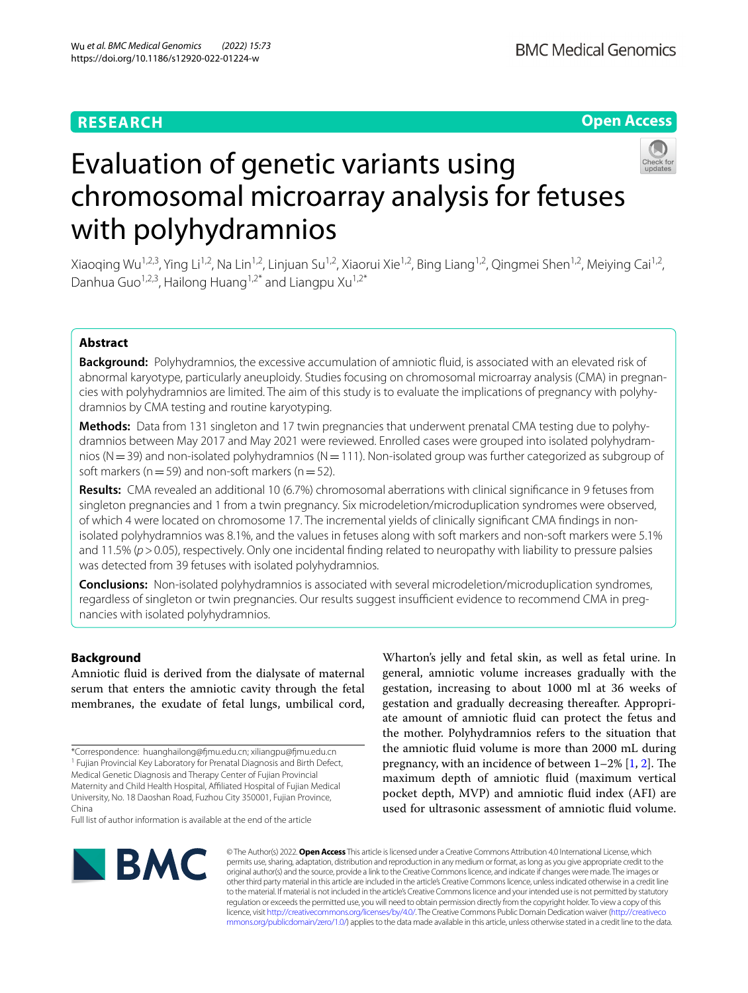# **RESEARCH**

# **Open Access**



# Evaluation of genetic variants using chromosomal microarray analysis for fetuses with polyhydramnios

Xiaoqing Wu<sup>1,2,3</sup>, Ying Li<sup>1,2</sup>, Na Lin<sup>1,2</sup>, Linjuan Su<sup>1,2</sup>, Xiaorui Xie<sup>1,2</sup>, Bing Liang<sup>1,2</sup>, Qingmei Shen<sup>1,2</sup>, Meiying Cai<sup>1,2</sup>, Danhua Guo<sup>1,2,3</sup>, Hailong Huang<sup>1,2\*</sup> and Liangpu Xu<sup>1,2\*</sup>

# **Abstract**

**Background:** Polyhydramnios, the excessive accumulation of amniotic fuid, is associated with an elevated risk of abnormal karyotype, particularly aneuploidy. Studies focusing on chromosomal microarray analysis (CMA) in pregnancies with polyhydramnios are limited. The aim of this study is to evaluate the implications of pregnancy with polyhydramnios by CMA testing and routine karyotyping.

**Methods:** Data from 131 singleton and 17 twin pregnancies that underwent prenatal CMA testing due to polyhydramnios between May 2017 and May 2021 were reviewed. Enrolled cases were grouped into isolated polyhydramnios ( $N=39$ ) and non-isolated polyhydramnios ( $N=111$ ). Non-isolated group was further categorized as subgroup of soft markers ( $n=59$ ) and non-soft markers ( $n=52$ ).

**Results:** CMA revealed an additional 10 (6.7%) chromosomal aberrations with clinical signifcance in 9 fetuses from singleton pregnancies and 1 from a twin pregnancy. Six microdeletion/microduplication syndromes were observed, of which 4 were located on chromosome 17. The incremental yields of clinically signifcant CMA fndings in nonisolated polyhydramnios was 8.1%, and the values in fetuses along with soft markers and non-soft markers were 5.1% and 11.5% (*p*>0.05), respectively. Only one incidental finding related to neuropathy with liability to pressure palsies was detected from 39 fetuses with isolated polyhydramnios.

**Conclusions:** Non-isolated polyhydramnios is associated with several microdeletion/microduplication syndromes, regardless of singleton or twin pregnancies. Our results suggest insufficient evidence to recommend CMA in pregnancies with isolated polyhydramnios.

# **Background**

Amniotic fuid is derived from the dialysate of maternal serum that enters the amniotic cavity through the fetal membranes, the exudate of fetal lungs, umbilical cord,

Full list of author information is available at the end of the article

Wharton's jelly and fetal skin, as well as fetal urine. In general, amniotic volume increases gradually with the gestation, increasing to about 1000 ml at 36 weeks of gestation and gradually decreasing thereafter. Appropriate amount of amniotic fuid can protect the fetus and the mother. Polyhydramnios refers to the situation that the amniotic fuid volume is more than 2000 mL during pregnancy, with an incidence of between  $1-2\%$  $1-2\%$  $1-2\%$  [\[1](#page-5-0), 2]. The maximum depth of amniotic fuid (maximum vertical pocket depth, MVP) and amniotic fuid index (AFI) are used for ultrasonic assessment of amniotic fuid volume.



© The Author(s) 2022. **Open Access** This article is licensed under a Creative Commons Attribution 4.0 International License, which permits use, sharing, adaptation, distribution and reproduction in any medium or format, as long as you give appropriate credit to the original author(s) and the source, provide a link to the Creative Commons licence, and indicate if changes were made. The images or other third party material in this article are included in the article's Creative Commons licence, unless indicated otherwise in a credit line to the material. If material is not included in the article's Creative Commons licence and your intended use is not permitted by statutory regulation or exceeds the permitted use, you will need to obtain permission directly from the copyright holder. To view a copy of this licence, visit [http://creativecommons.org/licenses/by/4.0/.](http://creativecommons.org/licenses/by/4.0/) The Creative Commons Public Domain Dedication waiver ([http://creativeco](http://creativecommons.org/publicdomain/zero/1.0/) [mmons.org/publicdomain/zero/1.0/](http://creativecommons.org/publicdomain/zero/1.0/)) applies to the data made available in this article, unless otherwise stated in a credit line to the data.

<sup>\*</sup>Correspondence: huanghailong@fmu.edu.cn; xiliangpu@fmu.edu.cn <sup>1</sup> Fujian Provincial Key Laboratory for Prenatal Diagnosis and Birth Defect, Medical Genetic Diagnosis and Therapy Center of Fujian Provincial Maternity and Child Health Hospital, Afliated Hospital of Fujian Medical University, No. 18 Daoshan Road, Fuzhou City 350001, Fujian Province, China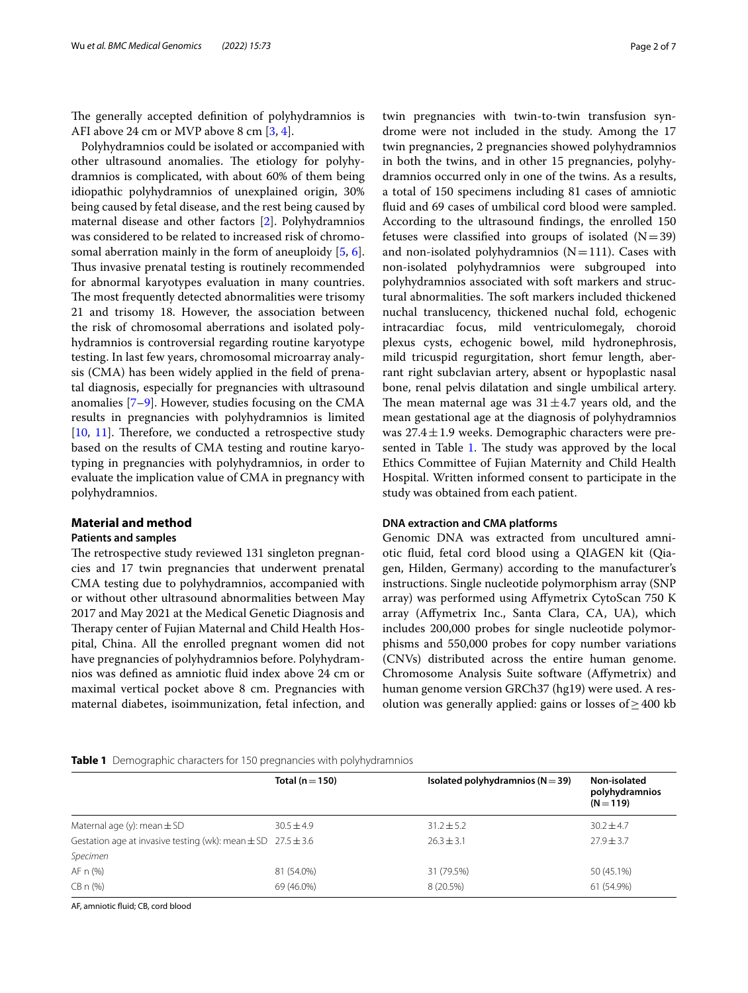The generally accepted definition of polyhydramnios is AFI above 24 cm or MVP above 8 cm [\[3](#page-5-2), [4\]](#page-5-3).

Polyhydramnios could be isolated or accompanied with other ultrasound anomalies. The etiology for polyhydramnios is complicated, with about 60% of them being idiopathic polyhydramnios of unexplained origin, 30% being caused by fetal disease, and the rest being caused by maternal disease and other factors [\[2](#page-5-1)]. Polyhydramnios was considered to be related to increased risk of chromosomal aberration mainly in the form of aneuploidy [\[5](#page-5-4), [6](#page-5-5)]. Thus invasive prenatal testing is routinely recommended for abnormal karyotypes evaluation in many countries. The most frequently detected abnormalities were trisomy 21 and trisomy 18. However, the association between the risk of chromosomal aberrations and isolated polyhydramnios is controversial regarding routine karyotype testing. In last few years, chromosomal microarray analysis (CMA) has been widely applied in the feld of prenatal diagnosis, especially for pregnancies with ultrasound anomalies  $[7-9]$  $[7-9]$ . However, studies focusing on the CMA results in pregnancies with polyhydramnios is limited  $[10, 11]$  $[10, 11]$  $[10, 11]$  $[10, 11]$ . Therefore, we conducted a retrospective study based on the results of CMA testing and routine karyotyping in pregnancies with polyhydramnios, in order to evaluate the implication value of CMA in pregnancy with polyhydramnios.

# **Material and method**

# **Patients and samples**

The retrospective study reviewed 131 singleton pregnancies and 17 twin pregnancies that underwent prenatal CMA testing due to polyhydramnios, accompanied with or without other ultrasound abnormalities between May 2017 and May 2021 at the Medical Genetic Diagnosis and Therapy center of Fujian Maternal and Child Health Hospital, China. All the enrolled pregnant women did not have pregnancies of polyhydramnios before. Polyhydramnios was defned as amniotic fuid index above 24 cm or maximal vertical pocket above 8 cm. Pregnancies with maternal diabetes, isoimmunization, fetal infection, and twin pregnancies with twin-to-twin transfusion syndrome were not included in the study. Among the 17 twin pregnancies, 2 pregnancies showed polyhydramnios in both the twins, and in other 15 pregnancies, polyhydramnios occurred only in one of the twins. As a results, a total of 150 specimens including 81 cases of amniotic fuid and 69 cases of umbilical cord blood were sampled. According to the ultrasound fndings, the enrolled 150 fetuses were classified into groups of isolated  $(N=39)$ and non-isolated polyhydramnios  $(N=111)$ . Cases with non-isolated polyhydramnios were subgrouped into polyhydramnios associated with soft markers and structural abnormalities. The soft markers included thickened nuchal translucency, thickened nuchal fold, echogenic intracardiac focus, mild ventriculomegaly, choroid plexus cysts, echogenic bowel, mild hydronephrosis, mild tricuspid regurgitation, short femur length, aberrant right subclavian artery, absent or hypoplastic nasal bone, renal pelvis dilatation and single umbilical artery. The mean maternal age was  $31 \pm 4.7$  years old, and the mean gestational age at the diagnosis of polyhydramnios was  $27.4 \pm 1.9$  weeks. Demographic characters were pre-sented in Table [1.](#page-1-0) The study was approved by the local Ethics Committee of Fujian Maternity and Child Health Hospital. Written informed consent to participate in the study was obtained from each patient.

# **DNA extraction and CMA platforms**

Genomic DNA was extracted from uncultured amniotic fuid, fetal cord blood using a QIAGEN kit (Qiagen, Hilden, Germany) according to the manufacturer's instructions. Single nucleotide polymorphism array (SNP array) was performed using Afymetrix CytoScan 750 K array (Afymetrix Inc., Santa Clara, CA, UA), which includes 200,000 probes for single nucleotide polymorphisms and 550,000 probes for copy number variations (CNVs) distributed across the entire human genome. Chromosome Analysis Suite software (Afymetrix) and human genome version GRCh37 (hg19) were used. A resolution was generally applied: gains or losses of  $\geq 400$  kb

#### <span id="page-1-0"></span>**Table 1** Demographic characters for 150 pregnancies with polyhydramnios

|                                                                      | Total ( $n = 150$ ) | Isolated polyhydramnios ( $N = 39$ ) | Non-isolated<br>polyhydramnios<br>$(N = 119)$ |
|----------------------------------------------------------------------|---------------------|--------------------------------------|-----------------------------------------------|
| Maternal age (y): mean $\pm$ SD                                      | $30.5 + 4.9$        | $31.2 \pm 5.2$                       | $30.2 \pm 4.7$                                |
| Gestation age at invasive testing (wk): mean $\pm$ SD 27.5 $\pm$ 3.6 |                     | $26.3 \pm 3.1$                       | $27.9 \pm 3.7$                                |
| Specimen                                                             |                     |                                      |                                               |
| AF n (%)                                                             | 81 (54.0%)          | 31 (79.5%)                           | 50 (45.1%)                                    |
| $CBn$ (%)                                                            | 69 (46.0%)          | 8 (20.5%)                            | 61 (54.9%)                                    |

AF, amniotic fuid; CB, cord blood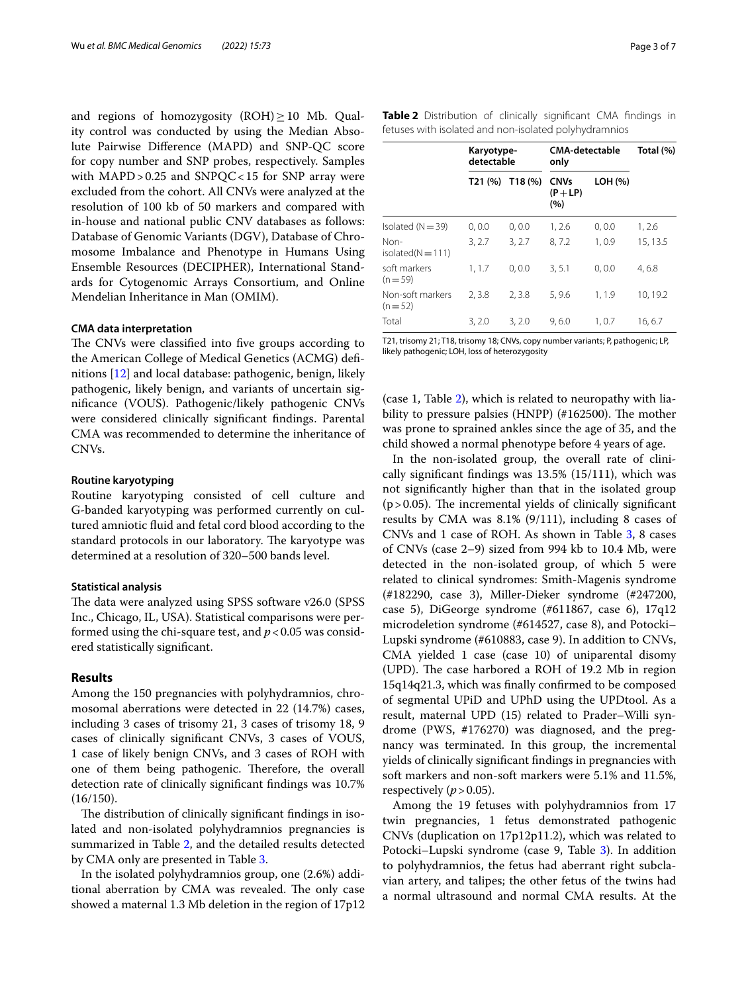and regions of homozygosity (ROH) $\geq$ 10 Mb. Quality control was conducted by using the Median Absolute Pairwise Diference (MAPD) and SNP-QC score for copy number and SNP probes, respectively. Samples with MAPD>0.25 and SNPQC<15 for SNP array were excluded from the cohort. All CNVs were analyzed at the resolution of 100 kb of 50 markers and compared with in-house and national public CNV databases as follows: Database of Genomic Variants (DGV), Database of Chromosome Imbalance and Phenotype in Humans Using Ensemble Resources (DECIPHER), International Standards for Cytogenomic Arrays Consortium, and Online Mendelian Inheritance in Man (OMIM).

# **CMA data interpretation**

The CNVs were classified into five groups according to the American College of Medical Genetics (ACMG) defnitions [[12\]](#page-5-10) and local database: pathogenic, benign, likely pathogenic, likely benign, and variants of uncertain signifcance (VOUS). Pathogenic/likely pathogenic CNVs were considered clinically signifcant fndings. Parental CMA was recommended to determine the inheritance of CNVs.

# **Routine karyotyping**

Routine karyotyping consisted of cell culture and G-banded karyotyping was performed currently on cultured amniotic fuid and fetal cord blood according to the standard protocols in our laboratory. The karyotype was determined at a resolution of 320–500 bands level.

#### **Statistical analysis**

The data were analyzed using SPSS software v26.0 (SPSS Inc., Chicago, IL, USA). Statistical comparisons were performed using the chi-square test, and  $p < 0.05$  was considered statistically signifcant.

# **Results**

Among the 150 pregnancies with polyhydramnios, chromosomal aberrations were detected in 22 (14.7%) cases, including 3 cases of trisomy 21, 3 cases of trisomy 18, 9 cases of clinically signifcant CNVs, 3 cases of VOUS, 1 case of likely benign CNVs, and 3 cases of ROH with one of them being pathogenic. Therefore, the overall detection rate of clinically signifcant fndings was 10.7%  $(16/150).$ 

The distribution of clinically significant findings in isolated and non-isolated polyhydramnios pregnancies is summarized in Table [2](#page-2-0), and the detailed results detected by CMA only are presented in Table [3](#page-3-0).

In the isolated polyhydramnios group, one (2.6%) additional aberration by CMA was revealed. The only case showed a maternal 1.3 Mb deletion in the region of 17p12 <span id="page-2-0"></span>**Table 2** Distribution of clinically signifcant CMA fndings in fetuses with isolated and non-isolated polyhydramnios

|                               | Karyotype-<br>detectable |         | <b>CMA-detectable</b><br>only    |         | Total (%) |
|-------------------------------|--------------------------|---------|----------------------------------|---------|-----------|
|                               | T21 (%)                  | T18 (%) | <b>CNVs</b><br>$(P + LP)$<br>(%) | LOH (%) |           |
| Isolated ( $N = 39$ )         | 0, 0.0                   | 0, 0.0  | 1, 2.6                           | 0, 0.0  | 1, 2.6    |
| Non-<br>isolated( $N = 111$ ) | 3, 2.7                   | 3, 2.7  | 8,7.2                            | 1,0.9   | 15, 13.5  |
| soft markers<br>$(n=59)$      | 1, 1.7                   | 0, 0.0  | 3, 5.1                           | 0, 0.0  | 4,6.8     |
| Non-soft markers<br>$(n=52)$  | 2,3.8                    | 2, 3.8  | 5,9.6                            | 1, 1.9  | 10, 19.2  |
| Total                         | 3, 2.0                   | 3, 2.0  | 9,6.0                            | 1, 0.7  | 16, 6.7   |

T21, trisomy 21; T18, trisomy 18; CNVs, copy number variants; P, pathogenic; LP, likely pathogenic; LOH, loss of heterozygosity

(case 1, Table [2\)](#page-2-0), which is related to neuropathy with liability to pressure palsies (HNPP)  $(\#162500)$ . The mother was prone to sprained ankles since the age of 35, and the child showed a normal phenotype before 4 years of age.

In the non-isolated group, the overall rate of clinically signifcant fndings was 13.5% (15/111), which was not signifcantly higher than that in the isolated group  $(p>0.05)$ . The incremental yields of clinically significant results by CMA was 8.1% (9/111), including 8 cases of CNVs and 1 case of ROH. As shown in Table [3,](#page-3-0) 8 cases of CNVs (case 2–9) sized from 994 kb to 10.4 Mb, were detected in the non-isolated group, of which 5 were related to clinical syndromes: Smith-Magenis syndrome (#182290, case 3), Miller-Dieker syndrome (#247200, case 5), DiGeorge syndrome (#611867, case 6), 17q12 microdeletion syndrome (#614527, case 8), and Potocki– Lupski syndrome (#610883, case 9). In addition to CNVs, CMA yielded 1 case (case 10) of uniparental disomy (UPD). The case harbored a ROH of 19.2 Mb in region 15q14q21.3, which was fnally confrmed to be composed of segmental UPiD and UPhD using the UPDtool. As a result, maternal UPD (15) related to Prader–Willi syndrome (PWS, **#**176270) was diagnosed, and the pregnancy was terminated. In this group, the incremental yields of clinically signifcant fndings in pregnancies with soft markers and non-soft markers were 5.1% and 11.5%, respectively  $(p>0.05)$ .

Among the 19 fetuses with polyhydramnios from 17 twin pregnancies, 1 fetus demonstrated pathogenic CNVs (duplication on 17p12p11.2), which was related to Potocki–Lupski syndrome (case 9, Table [3\)](#page-3-0). In addition to polyhydramnios, the fetus had aberrant right subclavian artery, and talipes; the other fetus of the twins had a normal ultrasound and normal CMA results. At the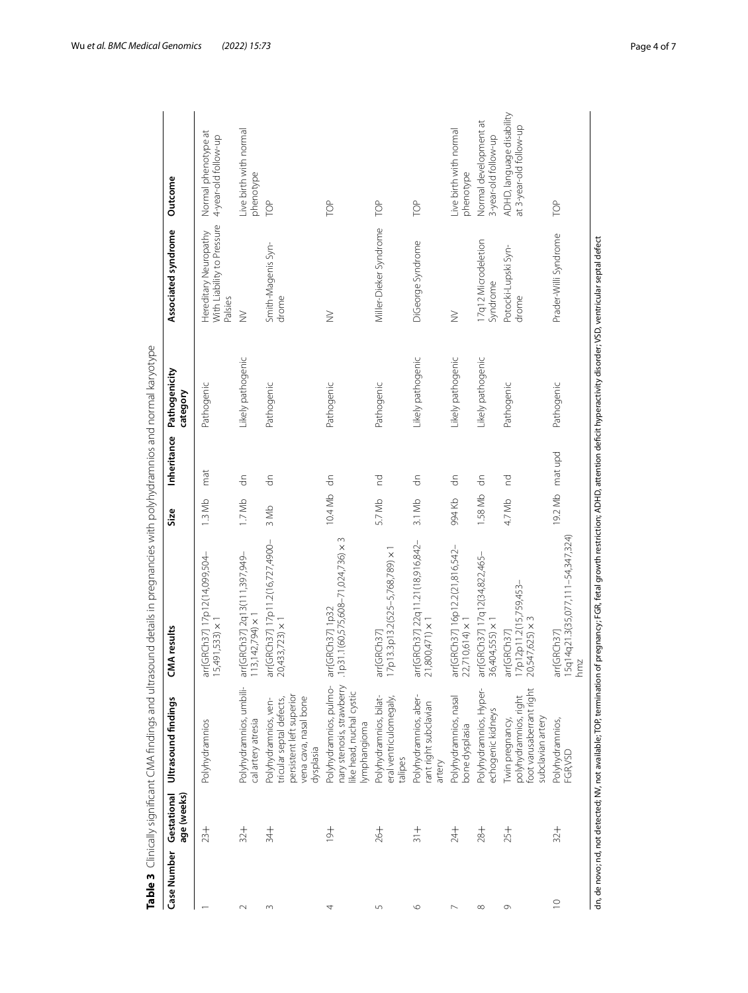| Case Number                                                                                                                                                                                    | age (weeks)<br>Gestational | Ultrasound findings                                                                                                | <b>IMA</b> results                                            | Size           | Inheritance        | Pathogenicity<br>category | Associated syndrome                                            | Outcome                                              |
|------------------------------------------------------------------------------------------------------------------------------------------------------------------------------------------------|----------------------------|--------------------------------------------------------------------------------------------------------------------|---------------------------------------------------------------|----------------|--------------------|---------------------------|----------------------------------------------------------------|------------------------------------------------------|
|                                                                                                                                                                                                | $23 +$                     | Polyhydramnios                                                                                                     | arr[GRCh37] 17p12(14,099,504-<br>$(5,491,533) \times 1$       | $1.3$ Mb       | mat                | Pathogenic                | With Liability to Pressure<br>Hereditary Neuropathy<br>Palsies | Normal phenotype at<br>4-year-old follow-up          |
| $\sim$                                                                                                                                                                                         | $32 +$                     | Polyhydramnios, umbili-<br>cal artery atresia                                                                      | arr[GRCh37] 2q13(111,397,949-<br>$13,142,794$ ) $\times$      | 1.7Mb          | $\frac{c}{\sigma}$ | Likely pathogenic         | $\geq$                                                         | Live birth with normal<br>phenotype                  |
| $\infty$                                                                                                                                                                                       | $\frac{4}{3}$              | persistent left superior<br>vena cava, nasal bone<br>tricular septal defects,<br>Polyhydramnios, ven-<br>dysplasia | arr[GRCh37] 17p11.2(16,727,4900-<br>$20,433,723$ $\times$ 1   | 3 Mb           | $\frac{c}{\sigma}$ | Pathogenic                | Smith-Magenis Syn-<br>drome                                    | pe                                                   |
|                                                                                                                                                                                                | $\frac{+}{2}$              | Polyhydramnios, pulmo-<br>nary stenosis, strawberry<br>like head, nuchal cystic<br>Iymphangioma                    | p31.1(60,575,608-71,024,736) × 3<br>arr[GRCh37] 1p32          | 10.4 Mb dn     |                    | Pathogenic                | $\geq$                                                         | POP                                                  |
| 5                                                                                                                                                                                              | $+92$                      | Polyhydramnios, bilat-<br>eral ventriculomegaly,<br>talipes                                                        | I7p13.3p13.2(525-5,768,789) × 1<br>arr[GRCh37]                | 5.7 Mb         | p                  | Pathogenic                | Miller-Dieker Syndrome                                         | POL                                                  |
| $\circ$                                                                                                                                                                                        | $\frac{+}{31}$             | Polyhydramnios, aber-<br>rant right subclavian<br>artery                                                           | arr[GRCh37] 22q11.21(18,916,842-<br>$21,800,471$ ) $\times$ 1 | 3.1 Mb         | $\frac{c}{\sigma}$ | Likely pathogenic         | DiGeorge Syndrome                                              | POP                                                  |
|                                                                                                                                                                                                | $\frac{1}{24}$             | Polyhydramnios, nasal<br>bone dysplasia                                                                            | arr[GRCh37] 16p12.2(21,816,542-<br>22,710,614) ×              | 994 Kb         | $\frac{c}{\sigma}$ | Likely pathogenic         | $\geq$                                                         | Live birth with normal<br>phenotype                  |
| $\infty$                                                                                                                                                                                       | $-84$                      | Polyhydramnios, Hyper-<br>echogenic kidneys                                                                        | arr[GRCh37] 17q12(34,822,465-<br>36,404,555) × 1              | 1.58 Mb        | $\frac{c}{\sigma}$ | Likely pathogenic         | 17q12 Microdeletion<br>Syndrome                                | Normal development at<br>3-year-old follow-up        |
| G                                                                                                                                                                                              | $25 +$                     | foot varusaberrant right<br>polyhydramnios, right<br>subclavian artery<br>Twin pregnancy,                          | 17p12p11.2(15,759,453–<br>20,547,625) × 3<br>arr[GRCh37]      | 4.7 Mb         | p                  | Pathogenic                | Potocki-Lupski Syn-<br>drome                                   | ADHD, language disability<br>at 3-year-old follow-up |
| $\supseteq$                                                                                                                                                                                    | $32 +$                     | Polyhydramnios,<br>FGR,VSD                                                                                         | I5q14q21.3(35,077,111-54,347,324)<br>arr[GRCh37]<br>mmz       | 19.2 Mb matupd |                    | Pathogenic                | Prader-Willi Syndrome                                          | TOP                                                  |
| dn, de novo; nd, not detected; NV, not available; TOP, termination of preqnancy; FGR, fetal growth restriction; ADHD, attention deficit hyperactivity disorder; VSD, ventricular septal defect |                            |                                                                                                                    |                                                               |                |                    |                           |                                                                |                                                      |

<span id="page-3-0"></span>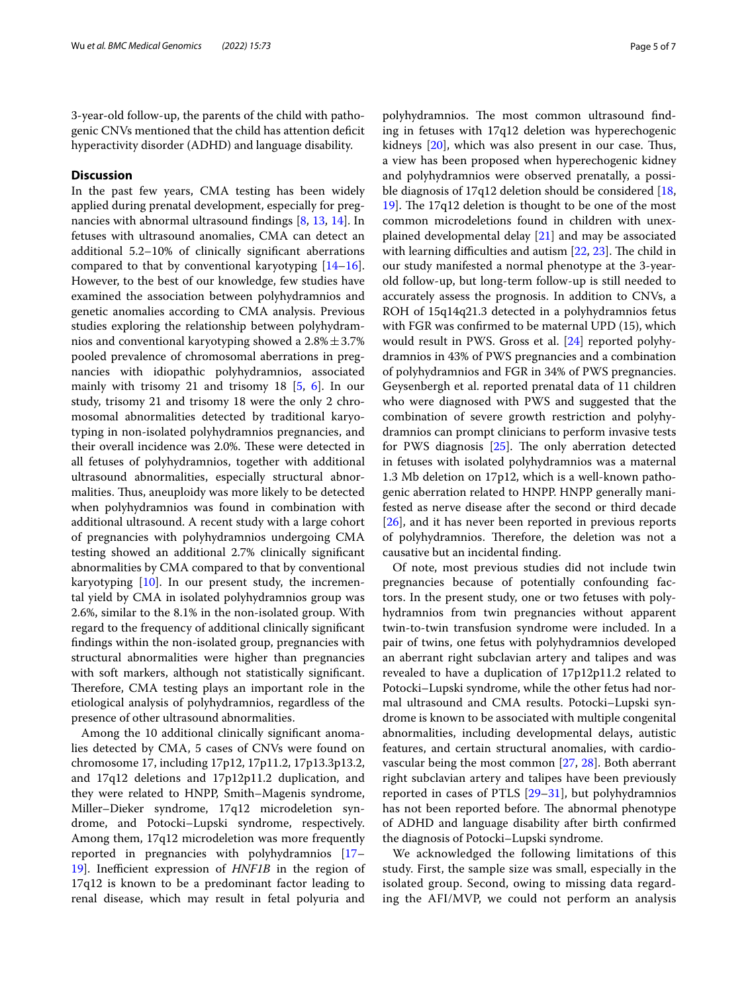3-year-old follow-up, the parents of the child with pathogenic CNVs mentioned that the child has attention defcit hyperactivity disorder (ADHD) and language disability.

# **Discussion**

In the past few years, CMA testing has been widely applied during prenatal development, especially for pregnancies with abnormal ultrasound fndings [\[8](#page-5-11), [13,](#page-5-12) [14\]](#page-5-13). In fetuses with ultrasound anomalies, CMA can detect an additional 5.2–10% of clinically signifcant aberrations compared to that by conventional karyotyping [[14](#page-5-13)[–16](#page-5-14)]. However, to the best of our knowledge, few studies have examined the association between polyhydramnios and genetic anomalies according to CMA analysis. Previous studies exploring the relationship between polyhydramnios and conventional karyotyping showed a  $2.8\% \pm 3.7\%$ pooled prevalence of chromosomal aberrations in pregnancies with idiopathic polyhydramnios, associated mainly with trisomy 21 and trisomy 18 [\[5](#page-5-4), [6\]](#page-5-5). In our study, trisomy 21 and trisomy 18 were the only 2 chromosomal abnormalities detected by traditional karyotyping in non-isolated polyhydramnios pregnancies, and their overall incidence was 2.0%. These were detected in all fetuses of polyhydramnios, together with additional ultrasound abnormalities, especially structural abnormalities. Thus, aneuploidy was more likely to be detected when polyhydramnios was found in combination with additional ultrasound. A recent study with a large cohort of pregnancies with polyhydramnios undergoing CMA testing showed an additional 2.7% clinically signifcant abnormalities by CMA compared to that by conventional karyotyping [[10\]](#page-5-8). In our present study, the incremental yield by CMA in isolated polyhydramnios group was 2.6%, similar to the 8.1% in the non-isolated group. With regard to the frequency of additional clinically signifcant fndings within the non-isolated group, pregnancies with structural abnormalities were higher than pregnancies with soft markers, although not statistically signifcant. Therefore, CMA testing plays an important role in the etiological analysis of polyhydramnios, regardless of the presence of other ultrasound abnormalities.

Among the 10 additional clinically signifcant anomalies detected by CMA, 5 cases of CNVs were found on chromosome 17, including 17p12, 17p11.2, 17p13.3p13.2, and 17q12 deletions and 17p12p11.2 duplication, and they were related to HNPP, Smith–Magenis syndrome, Miller–Dieker syndrome, 17q12 microdeletion syndrome, and Potocki–Lupski syndrome, respectively. Among them, 17q12 microdeletion was more frequently reported in pregnancies with polyhydramnios [[17–](#page-6-0) [19\]](#page-6-1). Inefficient expression of *HNF1B* in the region of 17q12 is known to be a predominant factor leading to renal disease, which may result in fetal polyuria and polyhydramnios. The most common ultrasound finding in fetuses with 17q12 deletion was hyperechogenic kidneys  $[20]$  $[20]$ , which was also present in our case. Thus, a view has been proposed when hyperechogenic kidney and polyhydramnios were observed prenatally, a possi-ble diagnosis of 17q12 deletion should be considered [[18](#page-6-3), [19\]](#page-6-1). The  $17q12$  deletion is thought to be one of the most common microdeletions found in children with unexplained developmental delay [[21\]](#page-6-4) and may be associated with learning difficulties and autism  $[22, 23]$  $[22, 23]$  $[22, 23]$  $[22, 23]$  $[22, 23]$ . The child in our study manifested a normal phenotype at the 3-yearold follow-up, but long-term follow-up is still needed to accurately assess the prognosis. In addition to CNVs, a ROH of 15q14q21.3 detected in a polyhydramnios fetus with FGR was confrmed to be maternal UPD (15), which would result in PWS. Gross et al. [\[24\]](#page-6-7) reported polyhydramnios in 43% of PWS pregnancies and a combination of polyhydramnios and FGR in 34% of PWS pregnancies. Geysenbergh et al. reported prenatal data of 11 children who were diagnosed with PWS and suggested that the combination of severe growth restriction and polyhydramnios can prompt clinicians to perform invasive tests for PWS diagnosis  $[25]$ . The only aberration detected in fetuses with isolated polyhydramnios was a maternal 1.3 Mb deletion on 17p12, which is a well-known pathogenic aberration related to HNPP. HNPP generally manifested as nerve disease after the second or third decade [[26\]](#page-6-9), and it has never been reported in previous reports of polyhydramnios. Therefore, the deletion was not a causative but an incidental fnding.

Of note, most previous studies did not include twin pregnancies because of potentially confounding factors. In the present study, one or two fetuses with polyhydramnios from twin pregnancies without apparent twin-to-twin transfusion syndrome were included. In a pair of twins, one fetus with polyhydramnios developed an aberrant right subclavian artery and talipes and was revealed to have a duplication of 17p12p11.2 related to Potocki–Lupski syndrome, while the other fetus had normal ultrasound and CMA results. Potocki–Lupski syndrome is known to be associated with multiple congenital abnormalities, including developmental delays, autistic features, and certain structural anomalies, with cardiovascular being the most common [\[27](#page-6-10), [28\]](#page-6-11). Both aberrant right subclavian artery and talipes have been previously reported in cases of PTLS [[29–](#page-6-12)[31](#page-6-13)], but polyhydramnios has not been reported before. The abnormal phenotype of ADHD and language disability after birth confrmed the diagnosis of Potocki–Lupski syndrome.

We acknowledged the following limitations of this study. First, the sample size was small, especially in the isolated group. Second, owing to missing data regarding the AFI/MVP, we could not perform an analysis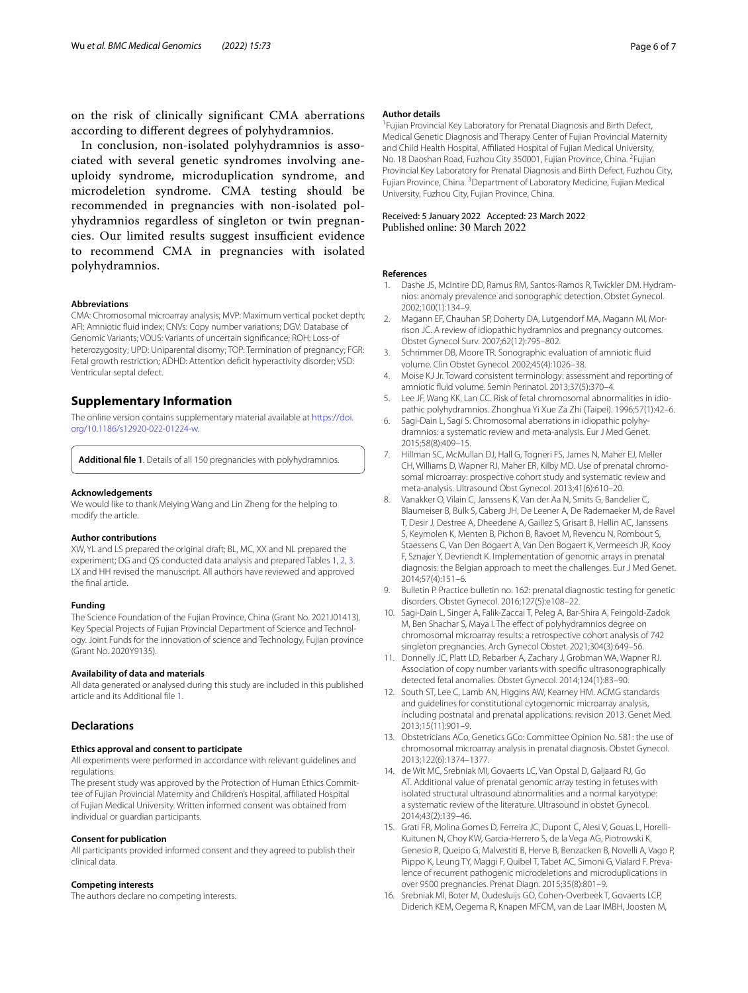on the risk of clinically signifcant CMA aberrations according to diferent degrees of polyhydramnios.

In conclusion, non-isolated polyhydramnios is associated with several genetic syndromes involving aneuploidy syndrome, microduplication syndrome, and microdeletion syndrome. CMA testing should be recommended in pregnancies with non-isolated polyhydramnios regardless of singleton or twin pregnancies. Our limited results suggest insufficient evidence to recommend CMA in pregnancies with isolated polyhydramnios.

#### **Abbreviations**

CMA: Chromosomal microarray analysis; MVP: Maximum vertical pocket depth; AFI: Amniotic fuid index; CNVs: Copy number variations; DGV: Database of Genomic Variants; VOUS: Variants of uncertain signifcance; ROH: Loss-of heterozygosity; UPD: Uniparental disomy; TOP: Termination of pregnancy; FGR: Fetal growth restriction; ADHD: Attention defcit hyperactivity disorder; VSD: Ventricular septal defect.

# **Supplementary Information**

The online version contains supplementary material available at [https://doi.](https://doi.org/10.1186/s12920-022-01224-w) [org/10.1186/s12920-022-01224-w.](https://doi.org/10.1186/s12920-022-01224-w)

<span id="page-5-15"></span>**Additional fle 1**. Details of all 150 pregnancies with polyhydramnios.

#### **Acknowledgements**

We would like to thank Meiying Wang and Lin Zheng for the helping to modify the article.

#### **Author contributions**

XW, YL and LS prepared the original draft; BL, MC, XX and NL prepared the experiment; DG and QS conducted data analysis and prepared Tables [1](#page-1-0), [2,](#page-2-0) [3](#page-3-0). LX and HH revised the manuscript. All authors have reviewed and approved the fnal article.

#### **Funding**

The Science Foundation of the Fujian Province, China (Grant No. 2021J01413). Key Special Projects of Fujian Provincial Department of Science and Technology. Joint Funds for the innovation of science and Technology, Fujian province (Grant No. 2020Y9135).

#### **Availability of data and materials**

All data generated or analysed during this study are included in this published article and its Additional fle [1.](#page-5-15)

# **Declarations**

#### **Ethics approval and consent to participate**

All experiments were performed in accordance with relevant guidelines and regulations.

The present study was approved by the Protection of Human Ethics Committee of Fujian Provincial Maternity and Children's Hospital, afliated Hospital of Fujian Medical University. Written informed consent was obtained from individual or guardian participants.

#### **Consent for publication**

All participants provided informed consent and they agreed to publish their clinical data.

#### **Competing interests**

The authors declare no competing interests.

#### **Author details**

<sup>1</sup> Fujian Provincial Key Laboratory for Prenatal Diagnosis and Birth Defect, Medical Genetic Diagnosis and Therapy Center of Fujian Provincial Maternity and Child Health Hospital, Afliated Hospital of Fujian Medical University, No. 18 Daoshan Road, Fuzhou City 350001, Fujian Province, China. <sup>2</sup> Fujian Provincial Key Laboratory for Prenatal Diagnosis and Birth Defect, Fuzhou City, Fujian Province, China. <sup>3</sup> Department of Laboratory Medicine, Fujian Medical University, Fuzhou City, Fujian Province, China.

### Received: 5 January 2022 Accepted: 23 March 2022 Published online: 30 March 2022

#### **References**

- <span id="page-5-0"></span>1. Dashe JS, McIntire DD, Ramus RM, Santos-Ramos R, Twickler DM. Hydramnios: anomaly prevalence and sonographic detection. Obstet Gynecol. 2002;100(1):134–9.
- <span id="page-5-1"></span>2. Magann EF, Chauhan SP, Doherty DA, Lutgendorf MA, Magann MI, Morrison JC. A review of idiopathic hydramnios and pregnancy outcomes. Obstet Gynecol Surv. 2007;62(12):795–802.
- <span id="page-5-2"></span>3. Schrimmer DB, Moore TR. Sonographic evaluation of amniotic fuid volume. Clin Obstet Gynecol. 2002;45(4):1026–38.
- <span id="page-5-3"></span>4. Moise KJ Jr. Toward consistent terminology: assessment and reporting of amniotic fuid volume. Semin Perinatol. 2013;37(5):370–4.
- <span id="page-5-4"></span>5. Lee JF, Wang KK, Lan CC. Risk of fetal chromosomal abnormalities in idiopathic polyhydramnios. Zhonghua Yi Xue Za Zhi (Taipei). 1996;57(1):42–6.
- <span id="page-5-5"></span>6. Sagi-Dain L, Sagi S. Chromosomal aberrations in idiopathic polyhydramnios: a systematic review and meta-analysis. Eur J Med Genet. 2015;58(8):409–15.
- <span id="page-5-6"></span>7. Hillman SC, McMullan DJ, Hall G, Togneri FS, James N, Maher EJ, Meller CH, Williams D, Wapner RJ, Maher ER, Kilby MD. Use of prenatal chromosomal microarray: prospective cohort study and systematic review and meta-analysis. Ultrasound Obst Gynecol. 2013;41(6):610–20.
- <span id="page-5-11"></span>Vanakker O, Vilain C, Janssens K, Van der Aa N, Smits G, Bandelier C, Blaumeiser B, Bulk S, Caberg JH, De Leener A, De Rademaeker M, de Ravel T, Desir J, Destree A, Dheedene A, Gaillez S, Grisart B, Hellin AC, Janssens S, Keymolen K, Menten B, Pichon B, Ravoet M, Revencu N, Rombout S, Staessens C, Van Den Bogaert A, Van Den Bogaert K, Vermeesch JR, Kooy F, Sznajer Y, Devriendt K. Implementation of genomic arrays in prenatal diagnosis: the Belgian approach to meet the challenges. Eur J Med Genet. 2014;57(4):151–6.
- <span id="page-5-7"></span>9. Bulletin P. Practice bulletin no. 162: prenatal diagnostic testing for genetic disorders. Obstet Gynecol. 2016;127(5):e108–22.
- <span id="page-5-8"></span>10. Sagi-Dain L, Singer A, Falik-Zaccai T, Peleg A, Bar-Shira A, Feingold-Zadok M, Ben Shachar S, Maya I. The efect of polyhydramnios degree on chromosomal microarray results: a retrospective cohort analysis of 742 singleton pregnancies. Arch Gynecol Obstet. 2021;304(3):649–56.
- <span id="page-5-9"></span>11. Donnelly JC, Platt LD, Rebarber A, Zachary J, Grobman WA, Wapner RJ. Association of copy number variants with specifc ultrasonographically detected fetal anomalies. Obstet Gynecol. 2014;124(1):83–90.
- <span id="page-5-10"></span>12. South ST, Lee C, Lamb AN, Higgins AW, Kearney HM. ACMG standards and guidelines for constitutional cytogenomic microarray analysis, including postnatal and prenatal applications: revision 2013. Genet Med. 2013;15(11):901–9.
- <span id="page-5-12"></span>13. Obstetricians ACo, Genetics GCo: Committee Opinion No. 581: the use of chromosomal microarray analysis in prenatal diagnosis. Obstet Gynecol. 2013;122(6):1374–1377.
- <span id="page-5-13"></span>14. de Wit MC, Srebniak MI, Govaerts LC, Van Opstal D, Galjaard RJ, Go AT. Additional value of prenatal genomic array testing in fetuses with isolated structural ultrasound abnormalities and a normal karyotype: a systematic review of the literature. Ultrasound in obstet Gynecol. 2014;43(2):139–46.
- 15. Grati FR, Molina Gomes D, Ferreira JC, Dupont C, Alesi V, Gouas L, Horelli-Kuitunen N, Choy KW, Garcia-Herrero S, de la Vega AG, Piotrowski K, Genesio R, Queipo G, Malvestiti B, Herve B, Benzacken B, Novelli A, Vago P, Piippo K, Leung TY, Maggi F, Quibel T, Tabet AC, Simoni G, Vialard F. Prevalence of recurrent pathogenic microdeletions and microduplications in over 9500 pregnancies. Prenat Diagn. 2015;35(8):801–9.
- <span id="page-5-14"></span>16. Srebniak MI, Boter M, Oudesluijs GO, Cohen-Overbeek T, Govaerts LCP, Diderich KEM, Oegema R, Knapen MFCM, van de Laar IMBH, Joosten M,